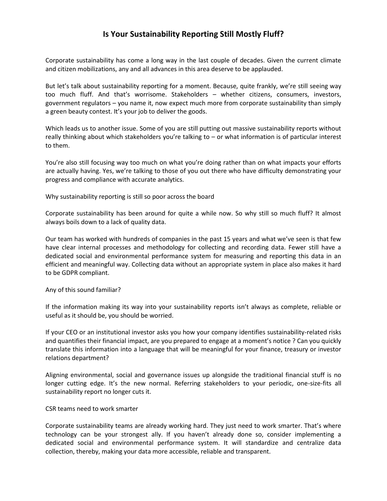## **Is Your Sustainability Reporting Still Mostly Fluff?**

Corporate sustainability has come a long way in the last couple of decades. Given the current climate and citizen mobilizations, any and all advances in this area deserve to be applauded.

But let's talk about sustainability reporting for a moment. Because, quite frankly, we're still seeing way too much fluff. And that's worrisome. Stakeholders – whether citizens, consumers, investors, government regulators – you name it, now expect much more from corporate sustainability than simply a green beauty contest. It's your job to deliver the goods.

Which leads us to another issue. Some of you are still putting out massive sustainability reports without really thinking about which stakeholders you're talking to – or what information is of particular interest to them.

You're also still focusing way too much on what you're doing rather than on what impacts your efforts are actually having. Yes, we're talking to those of you out there who have difficulty demonstrating your progress and compliance with accurate analytics.

Why sustainability reporting is still so poor across the board

Corporate sustainability has been around for quite a while now. So why still so much fluff? It almost always boils down to a lack of quality data.

Our team has worked with hundreds of companies in the past 15 years and what we've seen is that few have clear internal processes and methodology for collecting and recording data. Fewer still have a dedicated social and environmental performance system for measuring and reporting this data in an efficient and meaningful way. Collecting data without an appropriate system in place also makes it hard to be GDPR compliant.

Any of this sound familiar?

If the information making its way into your sustainability reports isn't always as complete, reliable or useful as it should be, you should be worried.

If your CEO or an institutional investor asks you how your company identifies sustainability-related risks and quantifies their financial impact, are you prepared to engage at a moment's notice ? Can you quickly translate this information into a language that will be meaningful for your finance, treasury or investor relations department?

Aligning environmental, social and governance issues up alongside the traditional financial stuff is no longer cutting edge. It's the new normal. Referring stakeholders to your periodic, one-size-fits all sustainability report no longer cuts it.

## CSR teams need to work smarter

Corporate sustainability teams are already working hard. They just need to work smarter. That's where technology can be your strongest ally. If you haven't already done so, consider implementing a dedicated social and environmental performance system. It will standardize and centralize data collection, thereby, making your data more accessible, reliable and transparent.